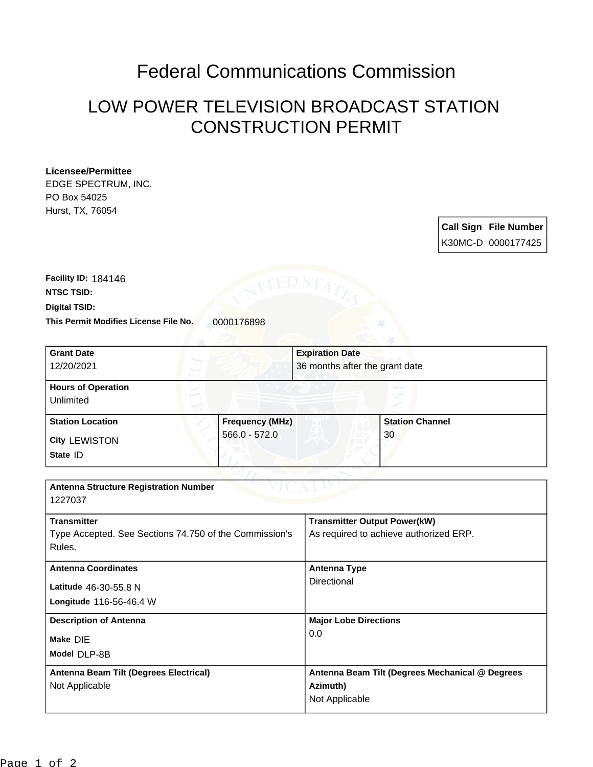## Federal Communications Commission

## LOW POWER TELEVISION BROADCAST STATION CONSTRUCTION PERMIT

## **Licensee/Permittee**

EDGE SPECTRUM, INC. PO Box 54025 Hurst, TX, 76054

> **Call Sign File Number** K30MC-D 0000177425

This Permit Modifies License File No. 0000176898 **Digital TSID: NTSC TSID: Facility ID:** 184146

| <b>Grant Date</b>                                      |                        | <b>Expiration Date</b>                          |                        |
|--------------------------------------------------------|------------------------|-------------------------------------------------|------------------------|
| 12/20/2021                                             |                        | 36 months after the grant date                  |                        |
| <b>Hours of Operation</b>                              |                        |                                                 |                        |
| Unlimited                                              |                        |                                                 |                        |
| <b>Station Location</b>                                | <b>Frequency (MHz)</b> |                                                 | <b>Station Channel</b> |
| <b>City LEWISTON</b>                                   | $566.0 - 572.0$        |                                                 | 30                     |
| State ID                                               |                        |                                                 |                        |
|                                                        |                        |                                                 |                        |
| <b>Antenna Structure Registration Number</b>           |                        |                                                 |                        |
| 1227037                                                |                        |                                                 |                        |
| <b>Transmitter</b>                                     |                        | <b>Transmitter Output Power(kW)</b>             |                        |
| Type Accepted. See Sections 74.750 of the Commission's |                        | As required to achieve authorized ERP.          |                        |
| Rules.                                                 |                        |                                                 |                        |
| <b>Antenna Coordinates</b>                             |                        | <b>Antenna Type</b>                             |                        |
| Latitude 46-30-55.8 N                                  |                        | Directional                                     |                        |
| Longitude 116-56-46.4 W                                |                        |                                                 |                        |
| <b>Description of Antenna</b>                          |                        | <b>Major Lobe Directions</b>                    |                        |
|                                                        |                        | 0.0                                             |                        |
| Make DIE                                               |                        |                                                 |                        |
| Model DLP-8B                                           |                        |                                                 |                        |
| Antenna Beam Tilt (Degrees Electrical)                 |                        | Antenna Beam Tilt (Degrees Mechanical @ Degrees |                        |
| Not Applicable                                         |                        | Azimuth)                                        |                        |
|                                                        |                        | Not Applicable                                  |                        |